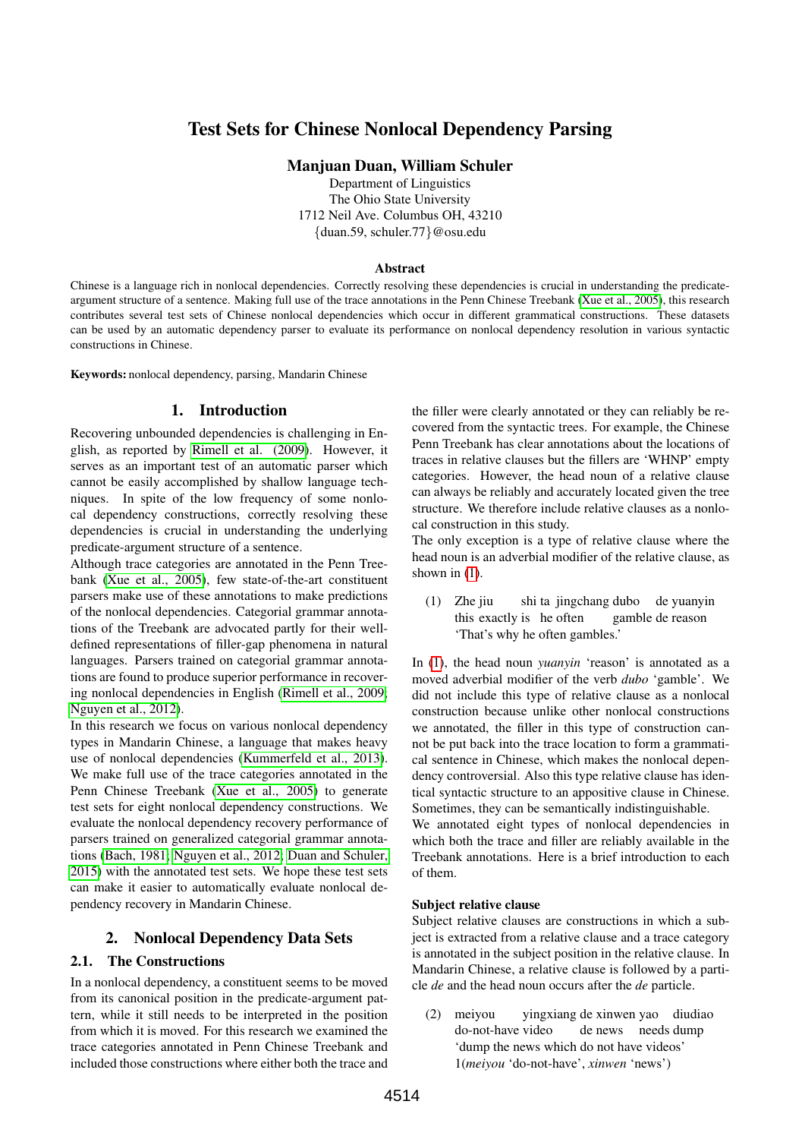# Test Sets for Chinese Nonlocal Dependency Parsing

Manjuan Duan, William Schuler

Department of Linguistics The Ohio State University 1712 Neil Ave. Columbus OH, 43210 {duan.59, schuler.77}@osu.edu

#### Abstract

Chinese is a language rich in nonlocal dependencies. Correctly resolving these dependencies is crucial in understanding the predicateargument structure of a sentence. Making full use of the trace annotations in the Penn Chinese Treebank [\(Xue et al., 2005\)](#page-5-0), this research contributes several test sets of Chinese nonlocal dependencies which occur in different grammatical constructions. These datasets can be used by an automatic dependency parser to evaluate its performance on nonlocal dependency resolution in various syntactic constructions in Chinese.

Keywords: nonlocal dependency, parsing, Mandarin Chinese

# 1. Introduction

Recovering unbounded dependencies is challenging in English, as reported by [Rimell et al. \(2009\)](#page-5-1). However, it serves as an important test of an automatic parser which cannot be easily accomplished by shallow language techniques. In spite of the low frequency of some nonlocal dependency constructions, correctly resolving these dependencies is crucial in understanding the underlying predicate-argument structure of a sentence.

Although trace categories are annotated in the Penn Treebank [\(Xue et al., 2005\)](#page-5-0), few state-of-the-art constituent parsers make use of these annotations to make predictions of the nonlocal dependencies. Categorial grammar annotations of the Treebank are advocated partly for their welldefined representations of filler-gap phenomena in natural languages. Parsers trained on categorial grammar annotations are found to produce superior performance in recovering nonlocal dependencies in English [\(Rimell et al., 2009;](#page-5-1) [Nguyen et al., 2012\)](#page-5-2).

In this research we focus on various nonlocal dependency types in Mandarin Chinese, a language that makes heavy use of nonlocal dependencies [\(Kummerfeld et al., 2013\)](#page-5-3). We make full use of the trace categories annotated in the Penn Chinese Treebank [\(Xue et al., 2005\)](#page-5-0) to generate test sets for eight nonlocal dependency constructions. We evaluate the nonlocal dependency recovery performance of parsers trained on generalized categorial grammar annotations [\(Bach, 1981;](#page-4-0) [Nguyen et al., 2012;](#page-5-2) [Duan and Schuler,](#page-5-4) [2015\)](#page-5-4) with the annotated test sets. We hope these test sets can make it easier to automatically evaluate nonlocal dependency recovery in Mandarin Chinese.

# 2. Nonlocal Dependency Data Sets

## 2.1. The Constructions

In a nonlocal dependency, a constituent seems to be moved from its canonical position in the predicate-argument pattern, while it still needs to be interpreted in the position from which it is moved. For this research we examined the trace categories annotated in Penn Chinese Treebank and included those constructions where either both the trace and the filler were clearly annotated or they can reliably be recovered from the syntactic trees. For example, the Chinese Penn Treebank has clear annotations about the locations of traces in relative clauses but the fillers are 'WHNP' empty categories. However, the head noun of a relative clause can always be reliably and accurately located given the tree structure. We therefore include relative clauses as a nonlocal construction in this study.

The only exception is a type of relative clause where the head noun is an adverbial modifier of the relative clause, as shown in [\(1\)](#page-0-0).

<span id="page-0-0"></span>(1) Zhe jiu this exactly is he often shi ta jingchang dubo de yuanyin gamble de reason 'That's why he often gambles.'

In [\(1\)](#page-0-0), the head noun *yuanyin* 'reason' is annotated as a moved adverbial modifier of the verb *dubo* 'gamble'. We did not include this type of relative clause as a nonlocal construction because unlike other nonlocal constructions we annotated, the filler in this type of construction cannot be put back into the trace location to form a grammatical sentence in Chinese, which makes the nonlocal dependency controversial. Also this type relative clause has identical syntactic structure to an appositive clause in Chinese. Sometimes, they can be semantically indistinguishable. We annotated eight types of nonlocal dependencies in which both the trace and filler are reliably available in the

Treebank annotations. Here is a brief introduction to each of them.

#### Subject relative clause

Subject relative clauses are constructions in which a subject is extracted from a relative clause and a trace category is annotated in the subject position in the relative clause. In Mandarin Chinese, a relative clause is followed by a particle *de* and the head noun occurs after the *de* particle.

<span id="page-0-1"></span>(2) meiyou do-not-have video yingxiang de xinwen yao diudiao de news needs dump 'dump the news which do not have videos' 1(*meiyou* 'do-not-have', *xinwen* 'news')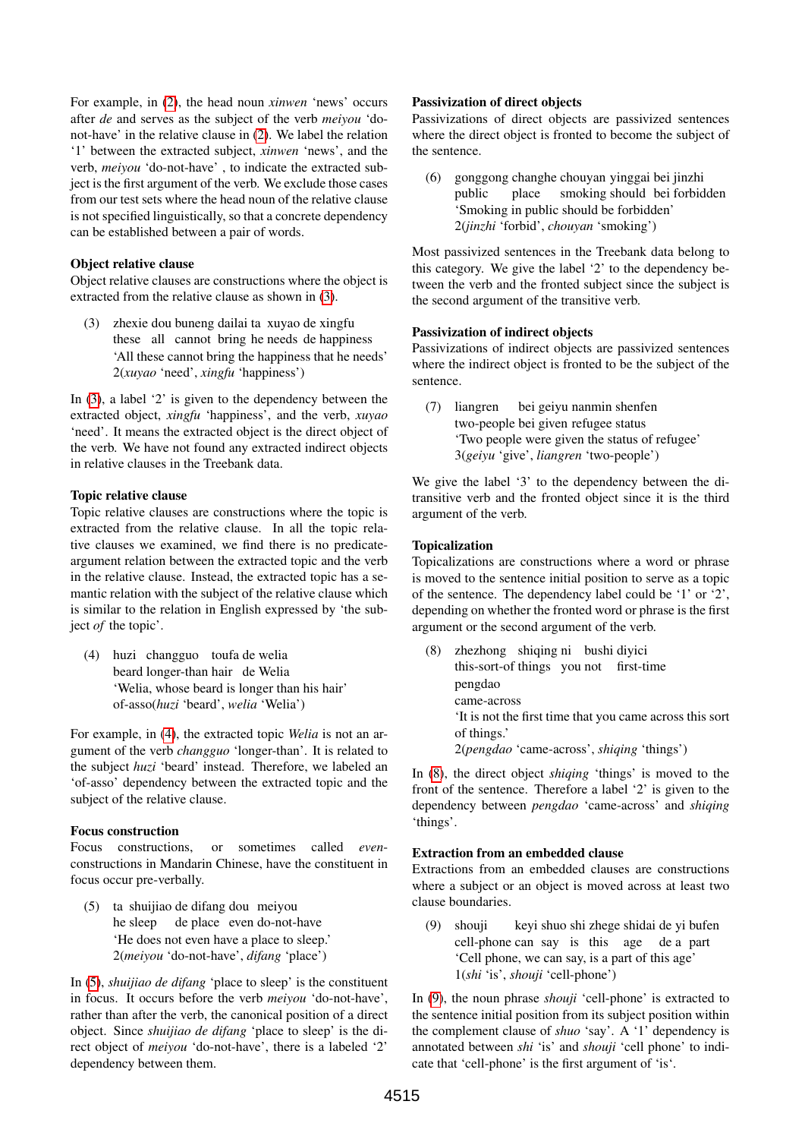For example, in [\(2\)](#page-0-1), the head noun *xinwen* 'news' occurs after *de* and serves as the subject of the verb *meiyou* 'donot-have' in the relative clause in [\(2\)](#page-0-1). We label the relation '1' between the extracted subject, *xinwen* 'news', and the verb, *meiyou* 'do-not-have' , to indicate the extracted subject is the first argument of the verb. We exclude those cases from our test sets where the head noun of the relative clause is not specified linguistically, so that a concrete dependency can be established between a pair of words.

#### Object relative clause

Object relative clauses are constructions where the object is extracted from the relative clause as shown in [\(3\)](#page-1-0).

<span id="page-1-0"></span>(3) zhexie dou buneng dailai ta xuyao de xingfu these all cannot bring he needs de happiness 'All these cannot bring the happiness that he needs' 2(*xuyao* 'need', *xingfu* 'happiness')

In [\(3\)](#page-1-0), a label '2' is given to the dependency between the extracted object, *xingfu* 'happiness', and the verb, *xuyao* 'need'. It means the extracted object is the direct object of the verb. We have not found any extracted indirect objects in relative clauses in the Treebank data.

#### Topic relative clause

Topic relative clauses are constructions where the topic is extracted from the relative clause. In all the topic relative clauses we examined, we find there is no predicateargument relation between the extracted topic and the verb in the relative clause. Instead, the extracted topic has a semantic relation with the subject of the relative clause which is similar to the relation in English expressed by 'the subject *of* the topic'.

<span id="page-1-1"></span>(4) huzi changguo toufa de welia beard longer-than hair de Welia 'Welia, whose beard is longer than his hair' of-asso(*huzi* 'beard', *welia* 'Welia')

For example, in [\(4\)](#page-1-1), the extracted topic *Welia* is not an argument of the verb *changguo* 'longer-than'. It is related to the subject *huzi* 'beard' instead. Therefore, we labeled an 'of-asso' dependency between the extracted topic and the subject of the relative clause.

## Focus construction

Focus constructions, or sometimes called *even*constructions in Mandarin Chinese, have the constituent in focus occur pre-verbally.

<span id="page-1-2"></span>(5) ta shuijiao de difang dou meiyou he sleep de place even do-not-have 'He does not even have a place to sleep.' 2(*meiyou* 'do-not-have', *difang* 'place')

In [\(5\)](#page-1-2), *shuijiao de difang* 'place to sleep' is the constituent in focus. It occurs before the verb *meiyou* 'do-not-have', rather than after the verb, the canonical position of a direct object. Since *shuijiao de difang* 'place to sleep' is the direct object of *meiyou* 'do-not-have', there is a labeled '2' dependency between them.

#### Passivization of direct objects

Passivizations of direct objects are passivized sentences where the direct object is fronted to become the subject of the sentence.

(6) gonggong changhe chouyan yinggai bei jinzhi public place smoking should bei forbidden 'Smoking in public should be forbidden' 2(*jinzhi* 'forbid', *chouyan* 'smoking')

Most passivized sentences in the Treebank data belong to this category. We give the label '2' to the dependency between the verb and the fronted subject since the subject is the second argument of the transitive verb.

## Passivization of indirect objects

Passivizations of indirect objects are passivized sentences where the indirect object is fronted to be the subject of the sentence.

(7) liangren two-people bei given refugee status bei geiyu nanmin shenfen 'Two people were given the status of refugee' 3(*geiyu* 'give', *liangren* 'two-people')

We give the label '3' to the dependency between the ditransitive verb and the fronted object since it is the third argument of the verb.

#### Topicalization

Topicalizations are constructions where a word or phrase is moved to the sentence initial position to serve as a topic of the sentence. The dependency label could be '1' or '2', depending on whether the fronted word or phrase is the first argument or the second argument of the verb.

<span id="page-1-3"></span>(8) zhezhong shiqing ni bushi diyici this-sort-of things you not first-time pengdao came-across 'It is not the first time that you came across this sort of things.' 2(*pengdao* 'came-across', *shiqing* 'things')

In [\(8\)](#page-1-3), the direct object *shiqing* 'things' is moved to the front of the sentence. Therefore a label '2' is given to the dependency between *pengdao* 'came-across' and *shiqing* 'things'.

#### Extraction from an embedded clause

Extractions from an embedded clauses are constructions where a subject or an object is moved across at least two clause boundaries.

<span id="page-1-4"></span>(9) shouji cell-phone can say is this age de a part keyi shuo shi zhege shidai de yi bufen 'Cell phone, we can say, is a part of this age' 1(*shi* 'is', *shouji* 'cell-phone')

In [\(9\)](#page-1-4), the noun phrase *shouji* 'cell-phone' is extracted to the sentence initial position from its subject position within the complement clause of *shuo* 'say'. A '1' dependency is annotated between *shi* 'is' and *shouji* 'cell phone' to indicate that 'cell-phone' is the first argument of 'is'.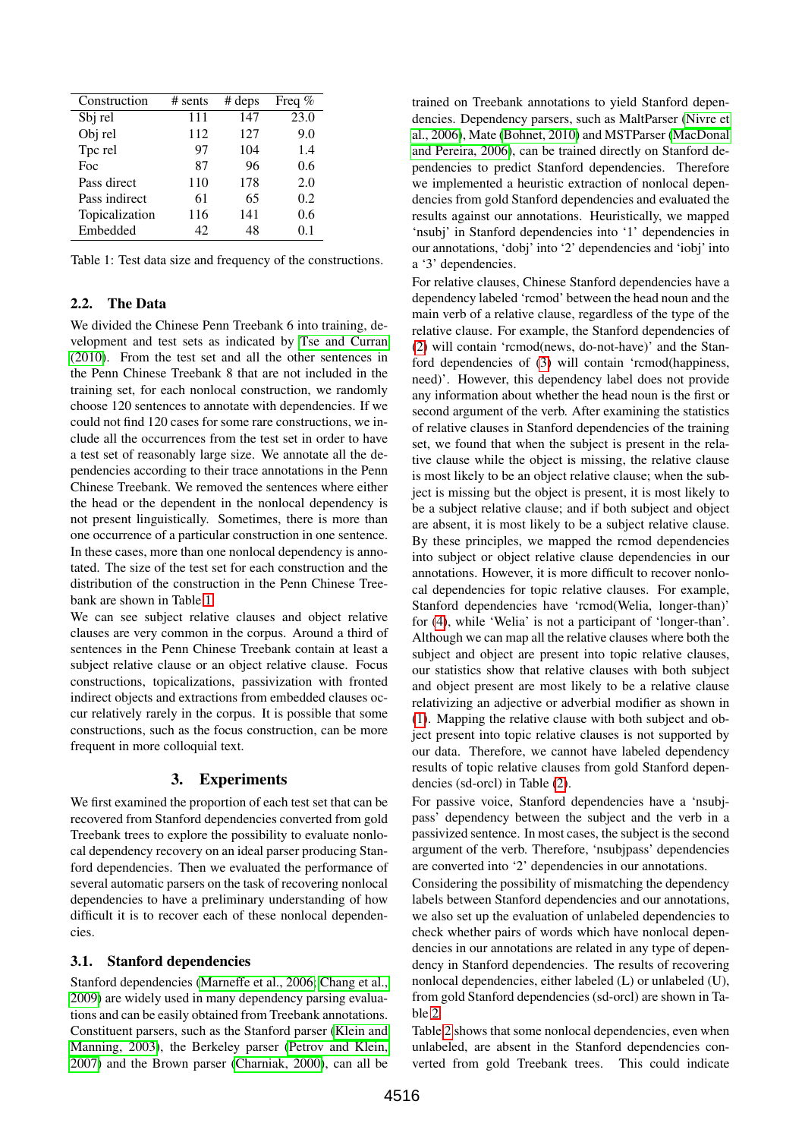| Construction   | $#$ sents | # deps | Freq $%$ |
|----------------|-----------|--------|----------|
| Sbj rel        | 111       | 147    | 23.0     |
| Obj rel        | 112       | 127    | 9.0      |
| Tpc rel        | 97        | 104    | 1.4      |
| Foc            | 87        | 96     | 0.6      |
| Pass direct    | 110       | 178    | 2.0      |
| Pass indirect  | 61        | 65     | 0.2      |
| Topicalization | 116       | 141    | 0.6      |
| Embedded       | 42        | 48     | 01       |

<span id="page-2-0"></span>Table 1: Test data size and frequency of the constructions.

## 2.2. The Data

We divided the Chinese Penn Treebank 6 into training, development and test sets as indicated by [Tse and Curran](#page-5-5) [\(2010\)](#page-5-5). From the test set and all the other sentences in the Penn Chinese Treebank 8 that are not included in the training set, for each nonlocal construction, we randomly choose 120 sentences to annotate with dependencies. If we could not find 120 cases for some rare constructions, we include all the occurrences from the test set in order to have a test set of reasonably large size. We annotate all the dependencies according to their trace annotations in the Penn Chinese Treebank. We removed the sentences where either the head or the dependent in the nonlocal dependency is not present linguistically. Sometimes, there is more than one occurrence of a particular construction in one sentence. In these cases, more than one nonlocal dependency is annotated. The size of the test set for each construction and the distribution of the construction in the Penn Chinese Treebank are shown in Table [1.](#page-2-0)

We can see subject relative clauses and object relative clauses are very common in the corpus. Around a third of sentences in the Penn Chinese Treebank contain at least a subject relative clause or an object relative clause. Focus constructions, topicalizations, passivization with fronted indirect objects and extractions from embedded clauses occur relatively rarely in the corpus. It is possible that some constructions, such as the focus construction, can be more frequent in more colloquial text.

## 3. Experiments

We first examined the proportion of each test set that can be recovered from Stanford dependencies converted from gold Treebank trees to explore the possibility to evaluate nonlocal dependency recovery on an ideal parser producing Stanford dependencies. Then we evaluated the performance of several automatic parsers on the task of recovering nonlocal dependencies to have a preliminary understanding of how difficult it is to recover each of these nonlocal dependencies.

#### 3.1. Stanford dependencies

Stanford dependencies [\(Marneffe et al., 2006;](#page-5-6) [Chang et al.,](#page-5-7) [2009\)](#page-5-7) are widely used in many dependency parsing evaluations and can be easily obtained from Treebank annotations. Constituent parsers, such as the Stanford parser [\(Klein and](#page-5-8) [Manning, 2003\)](#page-5-8), the Berkeley parser [\(Petrov and Klein,](#page-5-9) [2007\)](#page-5-9) and the Brown parser [\(Charniak, 2000\)](#page-5-10), can all be

trained on Treebank annotations to yield Stanford dependencies. Dependency parsers, such as MaltParser [\(Nivre et](#page-5-11) [al., 2006\)](#page-5-11), Mate [\(Bohnet, 2010\)](#page-5-12) and MSTParser [\(MacDonal](#page-5-13) [and Pereira, 2006\)](#page-5-13), can be trained directly on Stanford dependencies to predict Stanford dependencies. Therefore we implemented a heuristic extraction of nonlocal dependencies from gold Stanford dependencies and evaluated the results against our annotations. Heuristically, we mapped 'nsubj' in Stanford dependencies into '1' dependencies in our annotations, 'dobj' into '2' dependencies and 'iobj' into a '3' dependencies.

For relative clauses, Chinese Stanford dependencies have a dependency labeled 'rcmod' between the head noun and the main verb of a relative clause, regardless of the type of the relative clause. For example, the Stanford dependencies of [\(2\)](#page-0-1) will contain 'rcmod(news, do-not-have)' and the Stanford dependencies of [\(3\)](#page-1-0) will contain 'rcmod(happiness, need)'. However, this dependency label does not provide any information about whether the head noun is the first or second argument of the verb. After examining the statistics of relative clauses in Stanford dependencies of the training set, we found that when the subject is present in the relative clause while the object is missing, the relative clause is most likely to be an object relative clause; when the subject is missing but the object is present, it is most likely to be a subject relative clause; and if both subject and object are absent, it is most likely to be a subject relative clause. By these principles, we mapped the rcmod dependencies into subject or object relative clause dependencies in our annotations. However, it is more difficult to recover nonlocal dependencies for topic relative clauses. For example, Stanford dependencies have 'rcmod(Welia, longer-than)' for [\(4\)](#page-1-1), while 'Welia' is not a participant of 'longer-than'. Although we can map all the relative clauses where both the subject and object are present into topic relative clauses, our statistics show that relative clauses with both subject and object present are most likely to be a relative clause relativizing an adjective or adverbial modifier as shown in [\(1\)](#page-0-0). Mapping the relative clause with both subject and object present into topic relative clauses is not supported by our data. Therefore, we cannot have labeled dependency results of topic relative clauses from gold Stanford dependencies (sd-orcl) in Table [\(2\)](#page-3-0).

For passive voice, Stanford dependencies have a 'nsubjpass' dependency between the subject and the verb in a passivized sentence. In most cases, the subject is the second argument of the verb. Therefore, 'nsubjpass' dependencies are converted into '2' dependencies in our annotations.

Considering the possibility of mismatching the dependency labels between Stanford dependencies and our annotations, we also set up the evaluation of unlabeled dependencies to check whether pairs of words which have nonlocal dependencies in our annotations are related in any type of dependency in Stanford dependencies. The results of recovering nonlocal dependencies, either labeled (L) or unlabeled (U), from gold Stanford dependencies (sd-orcl) are shown in Table [2.](#page-3-0)

Table [2](#page-3-0) shows that some nonlocal dependencies, even when unlabeled, are absent in the Stanford dependencies converted from gold Treebank trees. This could indicate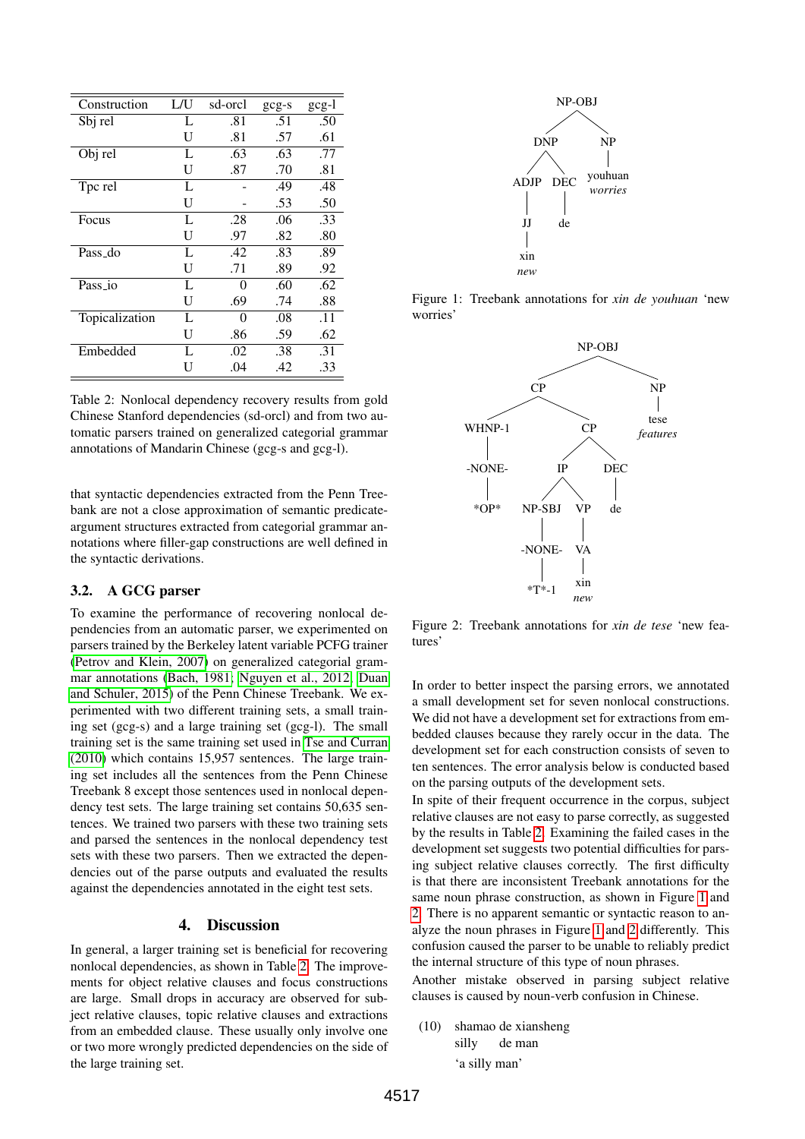| Construction   | L/U | sd-orcl | $gcg-s$ | $gcg-1$ |
|----------------|-----|---------|---------|---------|
| Sbj rel        | L   | .81     | .51     | .50     |
|                | U   | .81     | .57     | .61     |
| Obj rel        | L   | .63     | .63     | .77     |
|                | U   | .87     | .70     | .81     |
| Tpc rel        | L   |         | .49     | .48     |
|                | U   |         | .53     | .50     |
| Focus          | L   | .28     | .06     | .33     |
|                | U   | .97     | .82     | .80     |
| Pass_do        | L   | .42     | .83     | .89     |
|                | U   | .71     | .89     | .92     |
| Pass_io        | L   | 0       | .60     | .62     |
|                | U   | .69     | .74     | .88     |
| Topicalization | L   | 0       | .08     | .11     |
|                | U   | .86     | .59     | .62     |
| Embedded       | L   | .02     | .38     | .31     |
|                | U   | .04     | .42     | .33     |

<span id="page-3-0"></span>Table 2: Nonlocal dependency recovery results from gold Chinese Stanford dependencies (sd-orcl) and from two automatic parsers trained on generalized categorial grammar annotations of Mandarin Chinese (gcg-s and gcg-l).

that syntactic dependencies extracted from the Penn Treebank are not a close approximation of semantic predicateargument structures extracted from categorial grammar annotations where filler-gap constructions are well defined in the syntactic derivations.

# 3.2. A GCG parser

To examine the performance of recovering nonlocal dependencies from an automatic parser, we experimented on parsers trained by the Berkeley latent variable PCFG trainer [\(Petrov and Klein, 2007\)](#page-5-9) on generalized categorial grammar annotations [\(Bach, 1981;](#page-4-0) [Nguyen et al., 2012;](#page-5-2) [Duan](#page-5-4) [and Schuler, 2015\)](#page-5-4) of the Penn Chinese Treebank. We experimented with two different training sets, a small training set (gcg-s) and a large training set (gcg-l). The small training set is the same training set used in [Tse and Curran](#page-5-5) [\(2010\)](#page-5-5) which contains 15,957 sentences. The large training set includes all the sentences from the Penn Chinese Treebank 8 except those sentences used in nonlocal dependency test sets. The large training set contains 50,635 sentences. We trained two parsers with these two training sets and parsed the sentences in the nonlocal dependency test sets with these two parsers. Then we extracted the dependencies out of the parse outputs and evaluated the results against the dependencies annotated in the eight test sets.

## 4. Discussion

In general, a larger training set is beneficial for recovering nonlocal dependencies, as shown in Table [2.](#page-3-0) The improvements for object relative clauses and focus constructions are large. Small drops in accuracy are observed for subject relative clauses, topic relative clauses and extractions from an embedded clause. These usually only involve one or two more wrongly predicted dependencies on the side of the large training set.



Figure 1: Treebank annotations for *xin de youhuan* 'new worries'

<span id="page-3-1"></span>

<span id="page-3-2"></span>Figure 2: Treebank annotations for *xin de tese* 'new features'

In order to better inspect the parsing errors, we annotated a small development set for seven nonlocal constructions. We did not have a development set for extractions from embedded clauses because they rarely occur in the data. The development set for each construction consists of seven to ten sentences. The error analysis below is conducted based on the parsing outputs of the development sets.

In spite of their frequent occurrence in the corpus, subject relative clauses are not easy to parse correctly, as suggested by the results in Table [2.](#page-3-0) Examining the failed cases in the development set suggests two potential difficulties for parsing subject relative clauses correctly. The first difficulty is that there are inconsistent Treebank annotations for the same noun phrase construction, as shown in Figure [1](#page-3-1) and [2.](#page-3-2) There is no apparent semantic or syntactic reason to analyze the noun phrases in Figure [1](#page-3-1) and [2](#page-3-2) differently. This confusion caused the parser to be unable to reliably predict the internal structure of this type of noun phrases.

Another mistake observed in parsing subject relative clauses is caused by noun-verb confusion in Chinese.

<span id="page-3-3"></span>(10) shamao de xiansheng silly de man 'a silly man'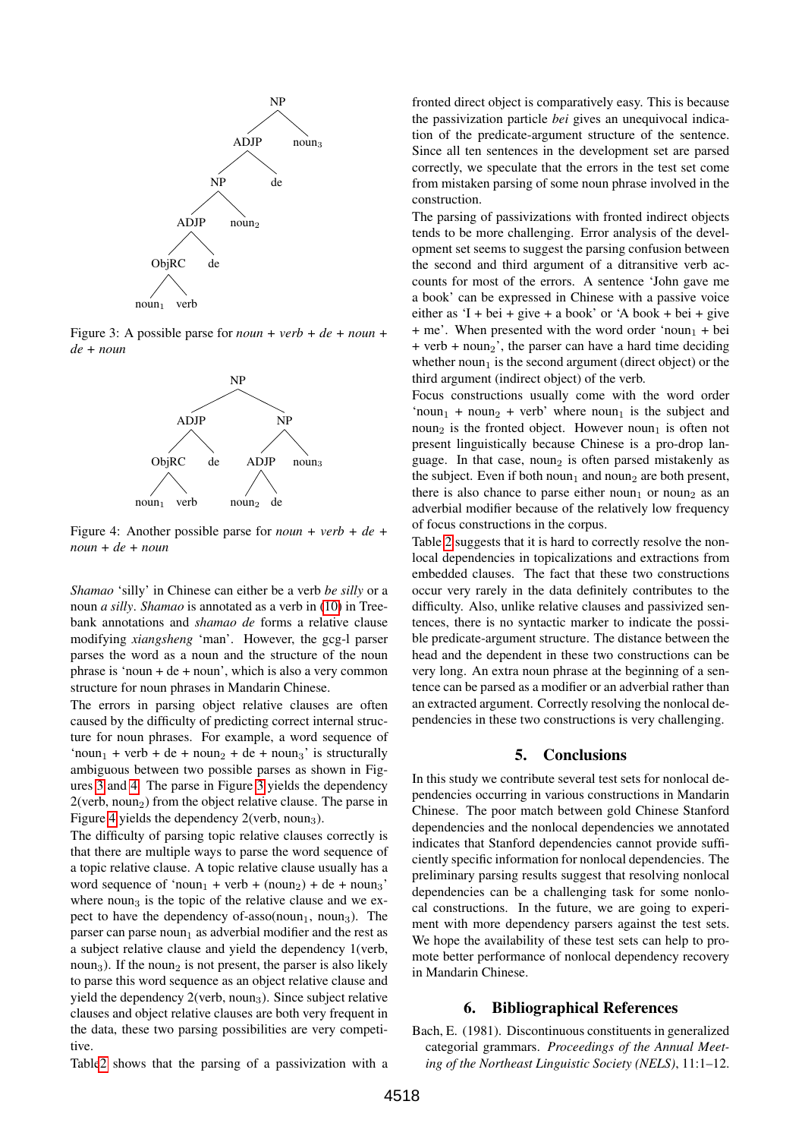

Figure 3: A possible parse for *noun + verb + de + noun + de + noun*

<span id="page-4-1"></span>

<span id="page-4-2"></span>Figure 4: Another possible parse for *noun + verb + de + noun + de + noun*

*Shamao* 'silly' in Chinese can either be a verb *be silly* or a noun *a silly*. *Shamao* is annotated as a verb in [\(10\)](#page-3-3) in Treebank annotations and *shamao de* forms a relative clause modifying *xiangsheng* 'man'. However, the gcg-l parser parses the word as a noun and the structure of the noun phrase is 'noun + de + noun', which is also a very common structure for noun phrases in Mandarin Chinese.

The errors in parsing object relative clauses are often caused by the difficulty of predicting correct internal structure for noun phrases. For example, a word sequence of 'noun<sub>1</sub> + verb + de + noun<sub>2</sub> + de + noun<sub>3</sub>' is structurally ambiguous between two possible parses as shown in Figures [3](#page-4-1) and [4.](#page-4-2) The parse in Figure [3](#page-4-1) yields the dependency  $2$ (verb, noun<sub>2</sub>) from the object relative clause. The parse in Figure [4](#page-4-2) yields the dependency  $2$ (verb, noun<sub>3</sub>).

The difficulty of parsing topic relative clauses correctly is that there are multiple ways to parse the word sequence of a topic relative clause. A topic relative clause usually has a word sequence of 'noun<sub>1</sub> + verb + (noun<sub>2</sub>) + de + noun<sub>3</sub>' where  $\eta$  noun<sub>3</sub> is the topic of the relative clause and we expect to have the dependency of-asso(noun<sub>1</sub>, noun<sub>3</sub>). The parser can parse noun<sub>1</sub> as adverbial modifier and the rest as a subject relative clause and yield the dependency 1(verb, noun<sub>3</sub>). If the noun<sub>2</sub> is not present, the parser is also likely to parse this word sequence as an object relative clause and yield the dependency  $2$ (verb, noun<sub>3</sub>). Since subject relative clauses and object relative clauses are both very frequent in the data, these two parsing possibilities are very competitive.

Tabl[e2](#page-3-0) shows that the parsing of a passivization with a

fronted direct object is comparatively easy. This is because the passivization particle *bei* gives an unequivocal indication of the predicate-argument structure of the sentence. Since all ten sentences in the development set are parsed correctly, we speculate that the errors in the test set come from mistaken parsing of some noun phrase involved in the construction.

The parsing of passivizations with fronted indirect objects tends to be more challenging. Error analysis of the development set seems to suggest the parsing confusion between the second and third argument of a ditransitive verb accounts for most of the errors. A sentence 'John gave me a book' can be expressed in Chinese with a passive voice either as 'I + bei + give + a book' or 'A book + bei + give  $+$  me'. When presented with the word order 'noun<sub>1</sub> + bei + verb + noun<sub>2</sub>', the parser can have a hard time deciding whether  $\text{noun}_1$  is the second argument (direct object) or the third argument (indirect object) of the verb.

Focus constructions usually come with the word order 'noun<sub>1</sub> + noun<sub>2</sub> + verb' where noun<sub>1</sub> is the subject and noun<sub>2</sub> is the fronted object. However noun<sub>1</sub> is often not present linguistically because Chinese is a pro-drop language. In that case, noun<sub>2</sub> is often parsed mistakenly as the subject. Even if both noun<sub>1</sub> and noun<sub>2</sub> are both present, there is also chance to parse either noun<sub>1</sub> or noun<sub>2</sub> as an adverbial modifier because of the relatively low frequency of focus constructions in the corpus.

Table [2](#page-3-0) suggests that it is hard to correctly resolve the nonlocal dependencies in topicalizations and extractions from embedded clauses. The fact that these two constructions occur very rarely in the data definitely contributes to the difficulty. Also, unlike relative clauses and passivized sentences, there is no syntactic marker to indicate the possible predicate-argument structure. The distance between the head and the dependent in these two constructions can be very long. An extra noun phrase at the beginning of a sentence can be parsed as a modifier or an adverbial rather than an extracted argument. Correctly resolving the nonlocal dependencies in these two constructions is very challenging.

#### 5. Conclusions

In this study we contribute several test sets for nonlocal dependencies occurring in various constructions in Mandarin Chinese. The poor match between gold Chinese Stanford dependencies and the nonlocal dependencies we annotated indicates that Stanford dependencies cannot provide sufficiently specific information for nonlocal dependencies. The preliminary parsing results suggest that resolving nonlocal dependencies can be a challenging task for some nonlocal constructions. In the future, we are going to experiment with more dependency parsers against the test sets. We hope the availability of these test sets can help to promote better performance of nonlocal dependency recovery in Mandarin Chinese.

#### 6. Bibliographical References

<span id="page-4-0"></span>Bach, E. (1981). Discontinuous constituents in generalized categorial grammars. *Proceedings of the Annual Meeting of the Northeast Linguistic Society (NELS)*, 11:1–12.